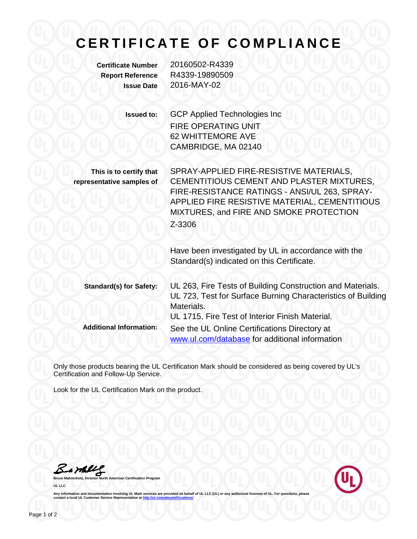## **C E R T I F I C A T E O F C O M P L I A N C E**

**Certificate Number** 20160502-R4339 **Report Reference** R4339-19890509 **Issue Date** 2016-MAY-02

> **Issued to:** GCP Applied Technologies Inc FIRE OPERATING UNIT 62 WHITTEMORE AVE CAMBRIDGE, MA 02140

**This is to certify that representative samples of**

SPRAY-APPLIED FIRE-RESISTIVE MATERIALS, CEMENTITIOUS CEMENT AND PLASTER MIXTURES, FIRE-RESISTANCE RATINGS - ANSI/UL 263, SPRAY-APPLIED FIRE RESISTIVE MATERIAL, CEMENTITIOUS MIXTURES, and FIRE AND SMOKE PROTECTION Z-3306

Have been investigated by UL in accordance with the Standard(s) indicated on this Certificate.

**Standard(s) for Safety:** UL 263, Fire Tests of Building Construction and Materials. UL 723, Test for Surface Burning Characteristics of Building Materials. UL 1715, Fire Test of Interior Finish Material. **Additional Information:** See the UL Online Certifications Directory at [www.ul.com/database](http://www.ul.com/database) for additional information

Only those products bearing the UL Certification Mark should be considered as being covered by UL's Certification and Follow-Up Service.

Look for the UL Certification Mark on the product.

Barkey

**Bruce Mannest Program UL LLC**



Any information and documentation involving UL Mark services are provided on behalf of UL LLC (UL) or any authorized licensee of UL. For questions, please<br>contact a local UL Customer Service Representative at <u>http://ul.co</u>